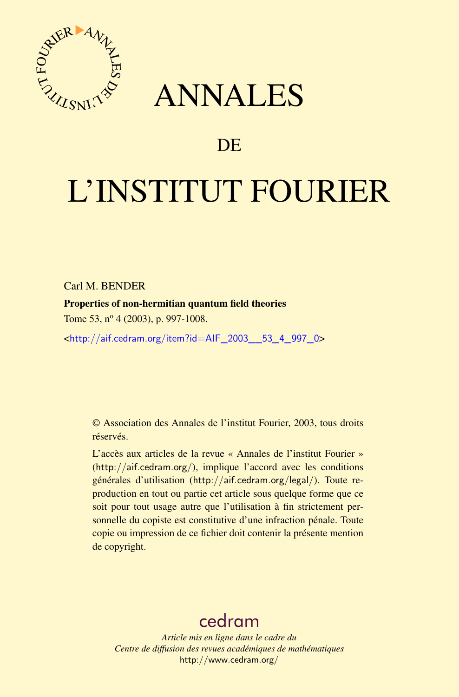



# DE

# L'INSTITUT FOURIER

Carl M. BENDER

Properties of non-hermitian quantum field theories

Tome 53, nº 4 (2003), p. 997-1008.

<[http://aif.cedram.org/item?id=AIF\\_2003\\_\\_53\\_4\\_997\\_0](http://aif.cedram.org/item?id=AIF_2003__53_4_997_0)>

© Association des Annales de l'institut Fourier, 2003, tous droits réservés.

L'accès aux articles de la revue « Annales de l'institut Fourier » (<http://aif.cedram.org/>), implique l'accord avec les conditions générales d'utilisation (<http://aif.cedram.org/legal/>). Toute reproduction en tout ou partie cet article sous quelque forme que ce soit pour tout usage autre que l'utilisation à fin strictement personnelle du copiste est constitutive d'une infraction pénale. Toute copie ou impression de ce fichier doit contenir la présente mention de copyright.

# [cedram](http://www.cedram.org/)

*Article mis en ligne dans le cadre du Centre de diffusion des revues académiques de mathématiques* <http://www.cedram.org/>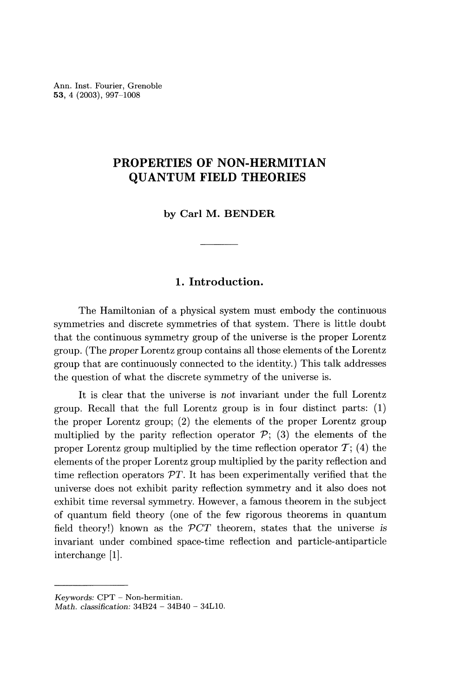Ann. Inst. Fourier, Grenoble 53, 4 (2003), 997-1008

## PROPERTIES OF NON-HERMITIAN QUANTUM FIELD THEORIES

by Carl M. BENDER

## 1. Introduction.

The Hamiltonian of a physical system must embody the continuous symmetries and discrete symmetries of that system. There is little doubt that the continuous symmetry group of the universe is the proper Lorentz group. (The proper Lorentz group contains all those elements of the Lorentz group that are continuously connected to the identity.) This talk addresses the question of what the discrete symmetry of the universe is.

It is clear that the universe is not invariant under the full Lorentz group. Recall that the full Lorentz group is in four distinct parts: (1) the proper Lorentz group; (2) the elements of the proper Lorentz group multiplied by the parity reflection operator  $P$ ; (3) the elements of the proper Lorentz group multiplied by the time reflection operator  $\mathcal{T}$ ; (4) the elements of the proper Lorentz group multiplied by the parity reflection and time reflection operators  $\mathcal{P}T$ . It has been experimentally verified that the universe does not exhibit parity reflection symmetry and it also does not exhibit time reversal symmetry. However, a famous theorem in the subject of quantum field theory (one of the few rigorous theorems in quantum field theory!) known as the  $\mathcal{P}CT$  theorem, states that the universe is invariant under combined space-time reflection and particle-antiparticle interchange [1].

Keywords: CPT - Non-hermitian.

Math. classification: 34B24 - 34B40 - 34L10.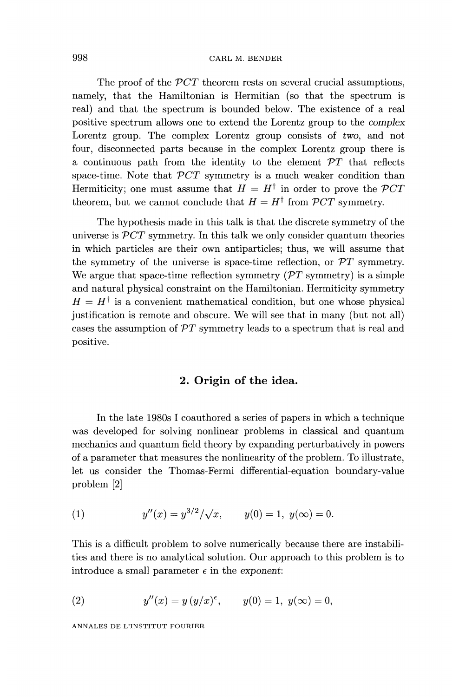#### CARL M. BENDER

The proof of the PCT theorem rests on several crucial assumptions, namely, that the Hamiltonian is Hermitian (so that the spectrum is real) and that the spectrum is bounded below. The existence of a real positive spectrum allows one to extend the Lorentz group to the complex Lorentz group. The complex Lorentz group consists of two, and not four, disconnected parts because in the complex Lorentz group there is a continuous path from the identity to the element  $\mathcal{P}T$  that reflects space-time. Note that  $\mathcal{P}CT$  symmetry is a much weaker condition than Hermiticity; one must assume that  $H = H^{\dagger}$  in order to prove the  $\mathcal{P}CT$ theorem, but we cannot conclude that  $H = H^{\dagger}$  from  $\mathcal{P}CT$  symmetry.

The hypothesis made in this talk is that the discrete symmetry of the universe is  $\mathcal{P}CT$  symmetry. In this talk we only consider quantum theories in which particles are their own antiparticles; thus, we will assume that the symmetry of the universe is space-time reflection, or  $\mathcal{P}T$  symmetry. We argue that space-time reflection symmetry  $(\mathcal{P}T)$  symmetry is a simple and natural physical constraint on the Hamiltonian. Hermiticity symmetry  $H = H^{\dagger}$  is a convenient mathematical condition, but one whose physical justification is remote and obscure. We will see that in many (but not all) cases the assumption of  $\mathcal{P}T$  symmetry leads to a spectrum that is real and positive.

### 2. Origin of the idea.

In the late 1980s I coauthored a series of papers in which a technique was developed for solving nonlinear problems in classical and quantum mechanics and quantum field theory by expanding perturbatively in powers of a parameter that measures the nonlinearity of the problem. To illustrate, let us consider the Thomas-Fermi differential-equation boundary-value problem [2]

(1) 
$$
y''(x) = y^{3/2}/\sqrt{x}, \qquad y(0) = 1, \ y(\infty) = 0.
$$

This is a difficult problem to solve numerically because there are instabilities and there is no analytical solution. Our approach to this problem is to introduce a small parameter  $\epsilon$  in the exponent:

(2) 
$$
y''(x) = y (y/x)^{\epsilon}, \quad y(0) = 1, y(\infty) = 0,
$$

ANNALES DE L'INSTITUT FOURIER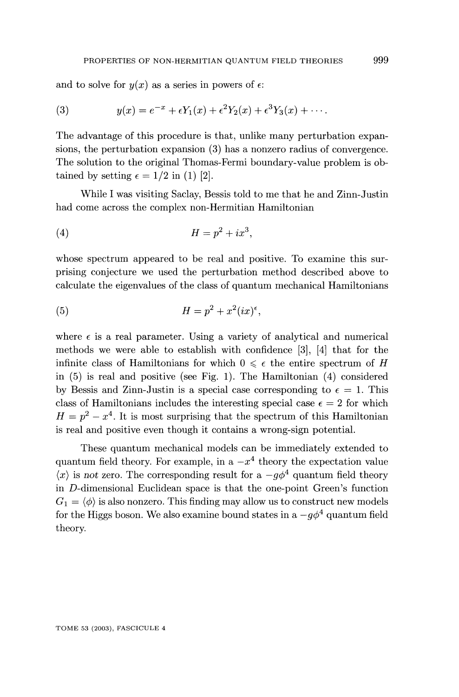and to solve for  $y(x)$  as a series in powers of  $\epsilon$ :

(3) 
$$
y(x) = e^{-x} + \epsilon Y_1(x) + \epsilon^2 Y_2(x) + \epsilon^3 Y_3(x) + \cdots
$$

The advantage of this procedure is that, unlike many perturbation expansions, the perturbation expansion (3) has a nonzero radius of convergence. The solution to the original Thomas-Fermi boundary-value problem is obtained by setting  $\epsilon = 1/2$  in (1) [2].

While I was visiting Saclay, Bessis told to me that he and Zinn-Justin had come across the complex non-Hermitian Hamiltonian

$$
(4) \hspace{3.1em} H = p^2 + ix^3,
$$

whose spectrum appeared to be real and positive. To examine this surprising conjecture we used the perturbation method described above to calculate the eigenvalues of the class of quantum mechanical Hamiltonians

$$
(5) \t\t\t H = p^2 + x^2 (ix)^{\epsilon},
$$

where  $\epsilon$  is a real parameter. Using a variety of analytical and numerical methods we were able to establish with confidence [3], [4] that for the infinite class of Hamiltonians for which  $0 \leq \epsilon$  the entire spectrum of H in (5) is real and positive (see Fig. 1). The Hamiltonian (4) considered by Bessis and Zinn-Justin is a special case corresponding to  $\epsilon = 1$ . This class of Hamiltonians includes the interesting special case  $\epsilon=2$  for which  $H = p<sup>2</sup> - x<sup>4</sup>$ . It is most surprising that the spectrum of this Hamiltonian is real and positive even though it contains a wrong-sign potential.

These quantum mechanical models can be immediately extended to quantum field theory. For example, in a  $-x^4$  theory the expectation value  $\langle x \rangle$  is not zero. The corresponding result for a  $-g\phi^4$  quantum field theory in D-dimensional Euclidean space is that the one-point Green's function  $G_1 = \langle \phi \rangle$  is also nonzero. This finding may allow us to construct new models for the Higgs boson. We also examine bound states in a  $-g\phi^4$  quantum field theory.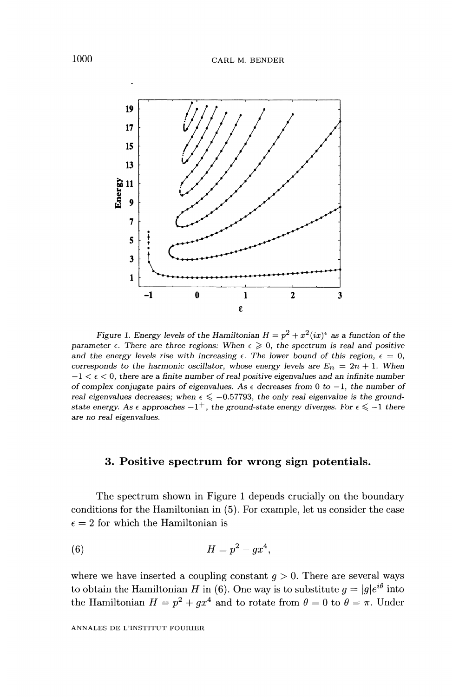

Figure 1. Energy levels of the Hamiltonian  $H = p^2 + x^2 (ix)^{\epsilon}$  as a function of the parameter  $\epsilon$ . There are three regions: When  $\epsilon \geqslant 0$ , the spectrum is real and positive and the energy levels rise with increasing  $\epsilon$ . The lower bound of this region,  $\epsilon = 0$ , corresponds to the harmonic oscillator, whose energy levels are  $E_n = 2n + 1$ . When  $-1 < \epsilon < 0$ , there are a finite number of real positive eigenvalues and an infinite number of complex conjugate pairs of eigenvalues. As  $\epsilon$  decreases from 0 to -1, the number of real eigenvalues decreases; when  $\epsilon \leq -0.57793$ , the only real eigenvalue is the groundstate energy. As  $\epsilon$  approaches  $-1^+$ , the ground-state energy diverges. For  $\epsilon \leq -1$  there are no real eigenvalues.

#### 3. Positive spectrum for wrong sign potentials.

The spectrum shown in Figure 1 depends crucially on the boundary conditions for the Hamiltonian in (5). For example, let us consider the case  $\epsilon=2$  for which the Hamiltonian is

$$
(6) \hspace{3.1em} H = p^2 - gx^4,
$$

where we have inserted a coupling constant  $q > 0$ . There are several ways to obtain the Hamiltonian H in (6). One way is to substitute  $g = |g|e^{i\theta}$  into the Hamiltonian  $H = p^2 + qx^4$  and to rotate from  $\theta = 0$  to  $\theta = \pi$ . Under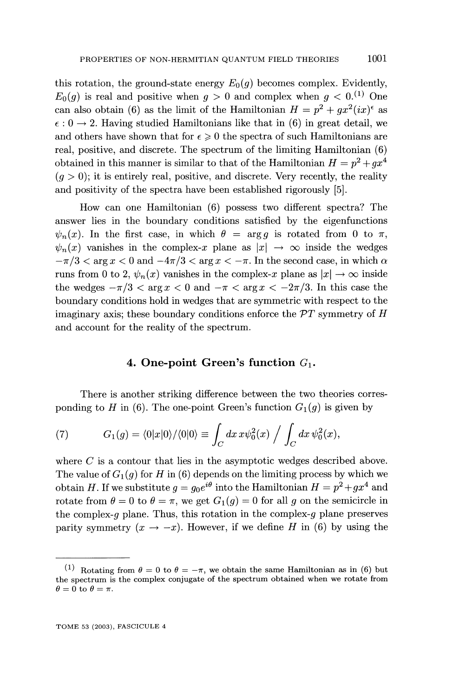this rotation, the ground-state energy  $E_0(q)$  becomes complex. Evidently,  $E_0(q)$  is real and positive when  $q > 0$  and complex when  $q < 0$ .<sup>(1)</sup> One can also obtain (6) as the limit of the Hamiltonian  $H = p^2 + qx^2(ix)^{\epsilon}$  as  $\epsilon$ : 0  $\rightarrow$  2. Having studied Hamiltonians like that in (6) in great detail, we and others have shown that for  $\epsilon \geq 0$  the spectra of such Hamiltonians are real, positive, and discrete. The spectrum of the limiting Hamiltonian (6) obtained in this manner is similar to that of the Hamiltonian  $H = p^2 + qx^4$  $(q > 0)$ ; it is entirely real, positive, and discrete. Very recently, the reality and positivity of the spectra have been established rigorously [5].

How can one Hamiltonian (6) possess two different spectra? The answer lies in the boundary conditions satisfied by the eigenfunctions  $\psi_n(x)$ . In the first case, in which  $\theta = \arg q$  is rotated from 0 to  $\pi$ ,  $\psi_n(x)$  vanishes in the complex-x plane as  $|x| \to \infty$  inside the wedges  $-\pi/3 < \arg x < 0$  and  $-4\pi/3 < \arg x < -\pi$ . In the second case, in which  $\alpha$ runs from 0 to 2,  $\psi_n(x)$  vanishes in the complex-x plane as  $|x| \to \infty$  inside the wedges  $-\pi/3 < \arg x < 0$  and  $-\pi < \arg x < -2\pi/3$ . In this case the boundary conditions hold in wedges that are symmetric with respect to the imaginary axis; these boundary conditions enforce the  $\mathcal PT$  symmetry of  $H$ and account for the reality of the spectrum.

#### 4. One-point Green's function  $G_1$ .

There is another striking difference between the two theories corresponding to H in (6). The one-point Green's function  $G_1(g)$  is given by

(7) 
$$
G_1(g) = \langle 0|x|0\rangle/\langle 0|0\rangle \equiv \int_C dx \, x \psi_0^2(x) \bigg/ \int_C dx \, \psi_0^2(x),
$$

where  $C$  is a contour that lies in the asymptotic wedges described above. The value of  $G_1(g)$  for H in (6) depends on the limiting process by which we obtain H. If we substitute  $g = g_0 e^{i\theta}$  into the Hamiltonian  $H = p^2 + gx^4$  and rotate from  $\theta = 0$  to  $\theta = \pi$ , we get  $G_1(g) = 0$  for all g on the semicircle in the complex-g plane. Thus, this rotation in the complex-g plane preserves parity symmetry  $(x \to -x)$ . However, if we define H in (6) by using the

<sup>&</sup>lt;sup>(1)</sup> Rotating from  $\theta = 0$  to  $\theta = -\pi$ , we obtain the same Hamiltonian as in (6) but the spectrum is the complex conjugate of the spectrum obtained when we rotate from  $\theta = 0$  to  $\theta = \pi$ .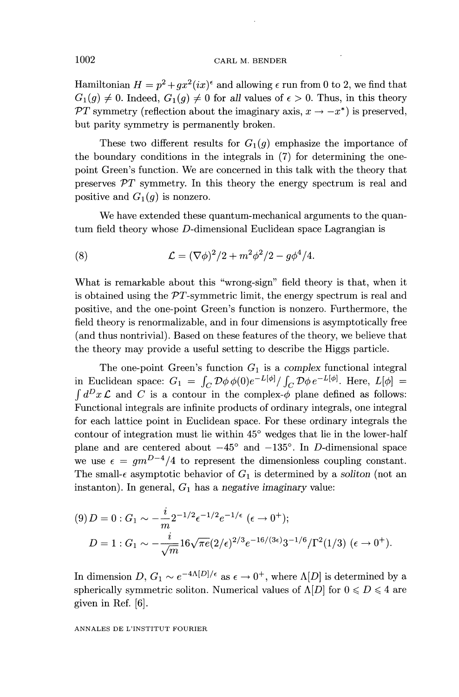Hamiltonian  $H = p^2 + qx^2(ix)^{\epsilon}$  and allowing  $\epsilon$  run from 0 to 2, we find that  $G_1(q) \neq 0$ . Indeed,  $G_1(q) \neq 0$  for all values of  $\epsilon > 0$ . Thus, in this theory PT symmetry (reflection about the imaginary axis,  $x \to -x^*$ ) is preserved, but parity symmetry is permanently broken.

These two different results for  $G_1(g)$  emphasize the importance of the boundary conditions in the integrals in (7) for determining the onepoint Green's function. We are concerned in this talk with the theory that preserves  $\mathcal{P}T$  symmetry. In this theory the energy spectrum is real and positive and  $G_1(g)$  is nonzero.

We have extended these quantum-mechanical arguments to the quantum field theory whose D-dimensional Euclidean space Lagrangian is

(8) 
$$
\mathcal{L} = (\nabla \phi)^2 / 2 + m^2 \phi^2 / 2 - g \phi^4 / 4.
$$

What is remarkable about this "wrong-sign" field theory is that, when it is obtained using the  $PT$ -symmetric limit, the energy spectrum is real and positive, and the one-point Green's function is nonzero. Furthermore, the field theory is renormalizable, and in four dimensions is asymptotically free (and thus nontrivial). Based on these features of the theory, we believe that the theory may provide a useful setting to describe the Higgs particle.

The one-point Green's function  $G_1$  is a complex functional integral in Euclidean space:  $G_1 = \int_C D\phi \phi(0)e^{-L[\phi]}/\int_C D\phi e^{-L[\phi]}$ . Here,  $L[\phi] =$  $\int d^D x \mathcal{L}$  and C is a contour in the complex- $\phi$  plane defined as follows: Functional integrals are infinite products of ordinary integrals, one integral for each lattice point in Euclidean space. For these ordinary integrals the contour of integration must lie within 45° wedges that lie in the lower-half plane and are centered about  $-45^{\circ}$  and  $-135^{\circ}$ . In D-dimensional space we use  $\epsilon = gm^{D-4}/4$  to represent the dimensionless coupling constant. The small- $\epsilon$  asymptotic behavior of  $G_1$  is determined by a soliton (not an instanton). In general,  $G_1$  has a negative imaginary value:

$$
(9) D = 0: G_1 \sim -\frac{i}{m} 2^{-1/2} \epsilon^{-1/2} e^{-1/\epsilon} \quad (\epsilon \to 0^+);
$$
  

$$
D = 1: G_1 \sim -\frac{i}{\sqrt{m}} 16\sqrt{\pi e} (2/\epsilon)^{2/3} e^{-16/(3\epsilon)} 3^{-1/6} / \Gamma^2(1/3) \quad (\epsilon \to 0^+)
$$

In dimension  $D, G_1 \sim e^{-4\Lambda[D]/\epsilon}$  as  $\epsilon \to 0^+$ , where  $\Lambda[D]$  is determined by a spherically symmetric soliton. Numerical values of  $\Lambda[D]$  for  $0 \leq D \leq 4$  are given in Ref. [6].

ANNALES DE L'INSTITUT FOURIER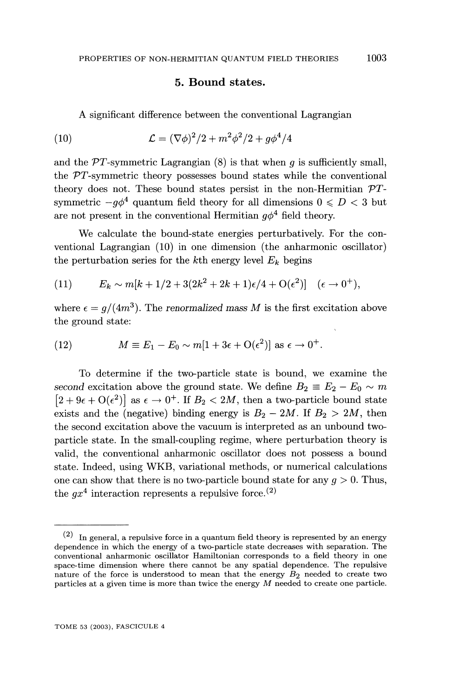#### 5. Bound states.

A significant difference between the conventional Lagrangian

(10) 
$$
\mathcal{L} = (\nabla \phi)^2 / 2 + m^2 \phi^2 / 2 + g \phi^4 / 4
$$

and the  $\mathcal{P}T$ -symmetric Lagrangian (8) is that when q is sufficiently small, the PT-symmetric theory possesses bound states while the conventional theory does not. These bound states persist in the non-Hermitian  $\mathcal{P}T$ symmetric  $-a\phi^4$  quantum field theory for all dimensions  $0 \le D < 3$  but are not present in the conventional Hermitian  $q\phi^4$  field theory.

We calculate the bound-state energies perturbatively. For the conventional Lagrangian (10) in one dimension (the anharmonic oscillator) the perturbation series for the kth energy level  $E_k$  begins

(11) 
$$
E_k \sim m[k+1/2+3(2k^2+2k+1)\epsilon/4+O(\epsilon^2)] \quad (\epsilon \to 0^+),
$$

where  $\epsilon = g/(4m^3)$ . The renormalized mass M is the first excitation above the ground state:

(12) 
$$
M \equiv E_1 - E_0 \sim m[1 + 3\epsilon + \mathcal{O}(\epsilon^2)] \text{ as } \epsilon \to 0^+.
$$

To determine if the two-particle state is bound, we examine the second excitation above the ground state. We define  $B_2 \equiv E_2 - E_0 \sim m$  $[2 + 9\epsilon + O(\epsilon^2)]$  as  $\epsilon \to 0^+$ . If  $B_2 < 2M$ , then a two-particle bound state exists and the (negative) binding energy is  $B_2 - 2M$ . If  $B_2 > 2M$ , then the second excitation above the vacuum is interpreted as an unbound twoparticle state. In the small-coupling regime, where perturbation theory is valid, the conventional anharmonic oscillator does not possess a bound state. Indeed, using WKB, variational methods, or numerical calculations one can show that there is no two-particle bound state for any  $g > 0$ . Thus, the  $qx^4$  interaction represents a repulsive force.<sup>(2)</sup>

 $^{(2)}$  In general, a repulsive force in a quantum field theory is represented by an energy dependence in which the energy of a two-particle state decreases with separation. The conventional anharmonic oscillator Hamiltonian corresponds to a field theory in one nature of the force is understood to mean that the energy  $B_2$  needed to create two particles at a given time is more than twice the energy M needed to create one particle.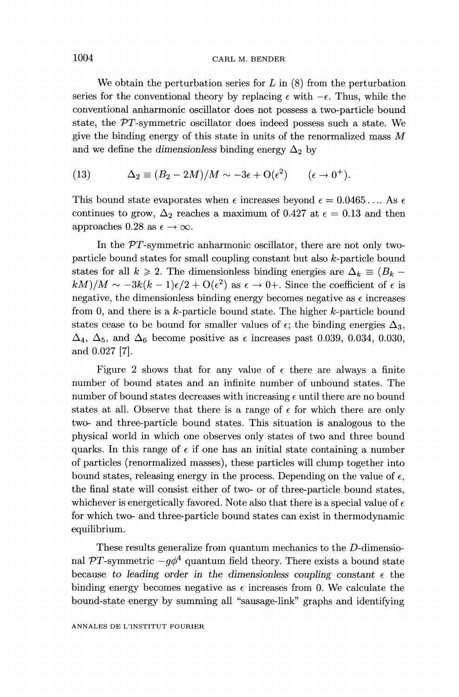#### CARL M. BENDER

We obtain the perturbation series for  $L$  in  $(8)$  from the perturbation series for the conventional theory by replacing  $\epsilon$  with  $-\epsilon$ . Thus, while the conventional anharmonic oscillator does not possess a two-particle bound state, the PT-symmetric oscillator does indeed possess such a state. We give the binding energy of this state in units of the renormalized mass  $M$ and we define the dimensionless binding energy  $\Delta_2$  by

(13) 
$$
\Delta_2 \equiv (B_2 - 2M)/M \sim -3\epsilon + O(\epsilon^2) \qquad (\epsilon \to 0^+).
$$

This bound state evaporates when  $\epsilon$  increases beyond  $\epsilon = 0.0465...$  As  $\epsilon$ continues to grow,  $\Delta_2$  reaches a maximum of 0.427 at  $\epsilon = 0.13$  and then approaches 0.28 as  $\epsilon \to \infty$ .

In the PT-symmetric anharmonic oscillator, there are not only twoparticle bound states for small coupling constant but also k-particle bound states for all  $k \ge 2$ . The dimensionless binding energies are  $\Delta_k \equiv (B_k (kM)/M \sim -3k(k-1)\epsilon/2 + O(\epsilon^2)$  as  $\epsilon \to 0+$ . Since the coefficient of  $\epsilon$  is negative, the dimensionless binding energy becomes negative as  $\epsilon$  increases from 0, and there is a  $k$ -particle bound state. The higher  $k$ -particle bound states cease to be bound for smaller values of  $\epsilon$ ; the binding energies  $\Delta_3$ ,  $\Delta_4$ ,  $\Delta_5$ , and  $\Delta_6$  become positive as  $\epsilon$  increases past 0.039, 0.034, 0.030, and 0.027 [7].

Figure 2 shows that for any value of  $\epsilon$  there are always a finite number of bound states and an infinite number of unbound states. The number of bound states decreases with increasing  $\epsilon$  until there are no bound states at all. Observe that there is a range of  $\epsilon$  for which there are only two- and three-particle bound states. This situation is analogous to the physical world in which one observes only states of two and three bound quarks. In this range of  $\epsilon$  if one has an initial state containing a number of particles (renormalized masses), these particles will clump together into bound states, releasing energy in the process. Depending on the value of  $\epsilon$ , the final state will consist either of two- or of three-particle bound states, whichever is energetically favored. Note also that there is a special value of  $\epsilon$ for which two- and three-particle bound states can exist in thermodynamic equilibrium.

These results generalize from quantum mechanics to the D-dimensional PT-symmetric  $-q\phi^4$  quantum field theory. There exists a bound state because to leading order in the dimensionless coupling constant  $\epsilon$  the binding energy becomes negative as  $\epsilon$  increases from 0. We calculate the bound-state energy by summing all "sausage-link" graphs and identifying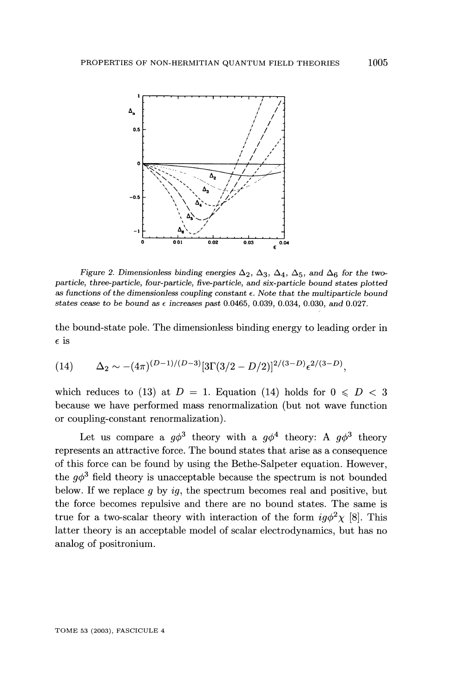

Figure 2. Dimensionless binding energies  $\Delta_2$ ,  $\Delta_3$ ,  $\Delta_4$ ,  $\Delta_5$ , and  $\Delta_6$  for the twoparticle, three-particle, four-particle, five-particle, and six-particle bound states plotted as functions of the dimensionless coupling constant  $\epsilon$ . Note that the multiparticle bound states cease to be bound as  $\epsilon$  increases past 0.0465, 0.039, 0.034, 0.030, and 0.027.

the bound-state pole. The dimensionless binding energy to leading order in  $\epsilon$  is

(14) 
$$
\Delta_2 \sim -(4\pi)^{(D-1)/(D-3)}[3\Gamma(3/2-D/2)]^{2/(3-D)}\epsilon^{2/(3-D)},
$$

which reduces to (13) at  $D = 1$ . Equation (14) holds for  $0 \le D < 3$ because we have performed mass renormalization (but not wave function or coupling-constant renormalization).

Let us compare a  $g\phi^3$  theory with a  $g\phi^4$  theory: A  $g\phi^3$  theory represents an attractive force. The bound states that arise as a consequence of this force can be found by using the Bethe-Salpeter equation. However, the  $q\phi^3$  field theory is unacceptable because the spectrum is not bounded below. If we replace  $q$  by  $iq$ , the spectrum becomes real and positive, but the force becomes repulsive and there are no bound states. The same is true for a two-scalar theory with interaction of the form  $ig\phi^2\chi$  [8]. This latter theory is an acceptable model of scalar electrodynamics, but has no analog of positronium.

TOME 53 (2003), FASCICULE 4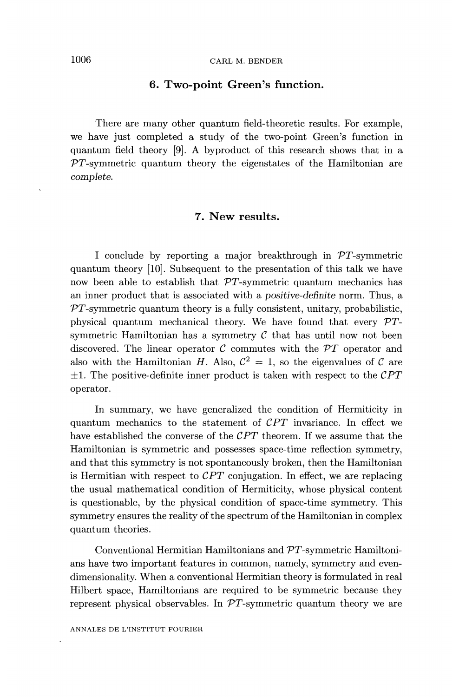#### 6. Two-point Green's function.

There are many other quantum field-theoretic results. For example, we have just completed a study of the two-point Green's function in quantum field theory [9]. A byproduct of this research shows that in a  $PT$ -symmetric quantum theory the eigenstates of the Hamiltonian are complete.

#### 7. New results.

I conclude by reporting a major breakthrough in  $PT$ -symmetric quantum theory [10]. Subsequent to the presentation of this talk we have now been able to establish that  $\mathcal{P}T$ -symmetric quantum mechanics has an inner product that is associated with a positive-definite norm. Thus, a  $PT$ -symmetric quantum theory is a fully consistent, unitary, probabilistic, physical quantum mechanical theory. We have found that every  $\mathcal{P}T$ symmetric Hamiltonian has a symmetry  $\mathcal C$  that has until now not been discovered. The linear operator  $C$  commutes with the  $\mathcal{P}T$  operator and also with the Hamiltonian H. Also,  $C^2 = 1$ , so the eigenvalues of C are  $\pm 1$ . The positive-definite inner product is taken with respect to the CPT operator.

In summary, we have generalized the condition of Hermiticity in quantum mechanics to the statement of  $\mathcal{C}PT$  invariance. In effect we have established the converse of the  $\mathcal{C}PT$  theorem. If we assume that the Hamiltonian is symmetric and possesses space-time reflection symmetry, and that this symmetry is not spontaneously broken, then the Hamiltonian is Hermitian with respect to  $\mathcal{C}PT$  conjugation. In effect, we are replacing the usual mathematical condition of Hermiticity, whose physical content is questionable, by the physical condition of space-time symmetry. This symmetry ensures the reality of the spectrum of the Hamiltonian in complex quantum theories.

Conventional Hermitian Hamiltonians and PT-symmetric Hamiltonians have two important features in common, namely, symmetry and evendimensionality. When a conventional Hermitian theory is formulated in real Hilbert space, Hamiltonians are required to be symmetric because they represent physical observables. In  $\mathcal{P}T$ -symmetric quantum theory we are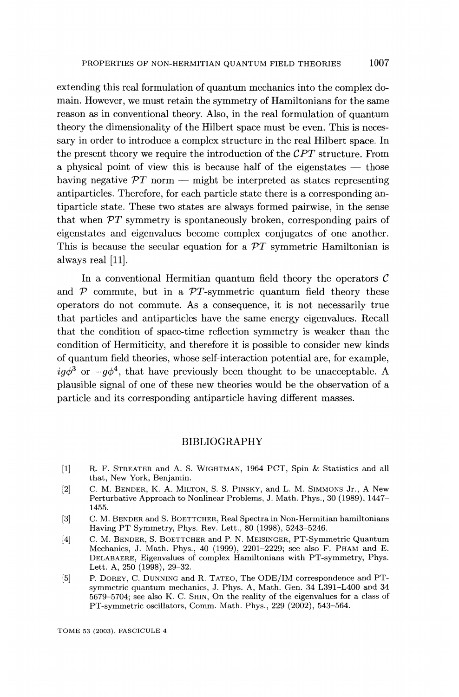extending this real formulation of quantum mechanics into the complex domain. However, we must retain the symmetry of Hamiltonians for the same reason as in conventional theory. Also, in the real formulation of quantum theory the dimensionality of the Hilbert space must be even. This is necessary in order to introduce a complex structure in the real Hilbert space. In the present theory we require the introduction of the  $\mathcal{C}PT$  structure. From a physical point of view this is because half of the eigenstates  $-$  those having negative  $\mathcal{P}T$  norm — might be interpreted as states representing antiparticles. Therefore, for each particle state there is a corresponding antiparticle state. These two states are always formed pairwise, in the sense that when  $\mathcal{P}T$  symmetry is spontaneously broken, corresponding pairs of eigenstates and eigenvalues become complex conjugates of one another. This is because the secular equation for a  $\mathcal{P}T$  symmetric Hamiltonian is always real [11].

In a conventional Hermitian quantum field theory the operators  $\mathcal C$ and  $P$  commute, but in a  $PT$ -symmetric quantum field theory these operators do not commute. As a consequence, it is not necessarily true that particles and antiparticles have the same energy eigenvalues. Recall that the condition of space-time reflection symmetry is weaker than the condition of Hermiticity, and therefore it is possible to consider new kinds of quantum field theories, whose self-interaction potential are, for example,  $iq\phi^3$  or  $-q\phi^4$ , that have previously been thought to be unacceptable. A plausible signal of one of these new theories would be the observation of a particle and its corresponding antiparticle having different masses.

#### BIBLIOGRAPHY

- [1] R. F. STREATER and A. S. WIGHTMAN, 1964 PCT, Spin & Statistics and all that, New York, Benjamin.
- [2] C. M. BENDER, K. A. MILTON, S. S. PINSKY, and L. M. SIMMONS Jr., A New Perturbative Approach to Nonlinear Problems, J. Math. Phys., 30 (1989), 1447- 1455.
- [3] C. M. BENDER and S. BOETTCHER, Real Spectra in Non-Hermitian hamiltonians Having PT Symmetry, Phys. Rev. Lett., 80 (1998), 5243-5246.
- [4] C. M. BENDER, S. BOETTCHER and P. N. MEISINGER, PT-Symmetric Quantum Mechanics, J. Math. Phys., 40 (1999), 2201-2229; see also F. PHAM and E. DELABAERE, Eigenvalues of complex Hamiltonians with PT-symmetry, Phys. Lett. A, 250 (1998), 29-32.
- [5] P. DOREY, C. DUNNING and R. TATEO, The ODE/IM correspondence and PTsymmetric quantum mechanics, J. Phys. A, Math. Gen. 34 L391-L400 and 34 5679-5704; see also K. C. SHIN, On the reality of the eigenvalues for a class of PT-symmetric oscillators, Comm. Math. Phys., 229 (2002), 543-564.